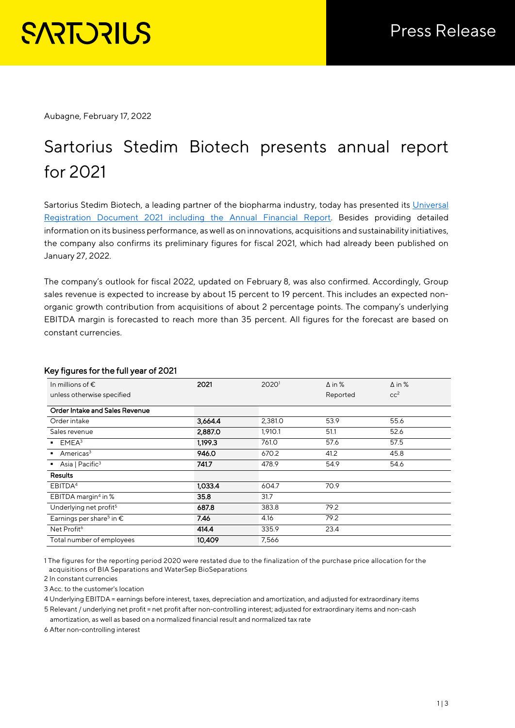Aubagne, February 17, 2022

# Sartorius Stedim Biotech presents annual report for 2021

Sartorius Stedim Biotech, a leading partner of the biopharma industry, today has presented its Universal [Registration Document 2021 including the Annual Financial Report.](https://www.sartorius.com/resource/static/1138890) Besides providing detailed information on its business performance, as well as on innovations, acquisitions and sustainability initiatives, the company also confirms its preliminary figures for fiscal 2021, which had already been published on January 27, 2022.

The company's outlook for fiscal 2022, updated on February 8, was also confirmed. Accordingly, Group sales revenue is expected to increase by about 15 percent to 19 percent. This includes an expected nonorganic growth contribution from acquisitions of about 2 percentage points. The company's underlying EBITDA margin is forecasted to reach more than 35 percent. All figures for the forecast are based on constant currencies.

| In millions of $\epsilon$                     | 2021    | 20201   | $\Delta$ in % | $\Delta$ in %   |
|-----------------------------------------------|---------|---------|---------------|-----------------|
| unless otherwise specified                    |         |         | Reported      | cc <sup>2</sup> |
| Order Intake and Sales Revenue                |         |         |               |                 |
| Order intake                                  | 3,664.4 | 2,381.0 | 53.9          | 55.6            |
| Sales revenue                                 | 2,887.0 | 1,910.1 | 51.1          | 52.6            |
| EMEA <sup>3</sup>                             | 1.199.3 | 761.0   | 57.6          | 57.5            |
| Americas <sup>3</sup>                         | 946.0   | 670.2   | 41.2          | 45.8            |
| Asia   Pacific <sup>3</sup><br>$\blacksquare$ | 741.7   | 478.9   | 54.9          | 54.6            |
| Results                                       |         |         |               |                 |
| EBITDA <sup>4</sup>                           | 1,033.4 | 604.7   | 70.9          |                 |
| EBITDA margin <sup>4</sup> in %               | 35.8    | 31.7    |               |                 |
| Underlying net profit <sup>5</sup>            | 687.8   | 383.8   | 79.2          |                 |
| Earnings per share <sup>5</sup> in $\epsilon$ | 7.46    | 4.16    | 79.2          |                 |
| Net Profit <sup>6</sup>                       | 414.4   | 335.9   | 23.4          |                 |
| Total number of employees                     | 10,409  | 7,566   |               |                 |

## Key figures for the full year of 2021

1 The figures for the reporting period 2020 were restated due to the finalization of the purchase price allocation for the acquisitions of BIA Separations and WaterSep BioSeparations

2 In constant currencies

3 Acc. to the customer's location

4 Underlying EBITDA = earnings before interest, taxes, depreciation and amortization, and adjusted for extraordinary items 5 Relevant / underlying net profit = net profit after non-controlling interest; adjusted for extraordinary items and non-cash

amortization, as well as based on a normalized financial result and normalized tax rate

6 After non-controlling interest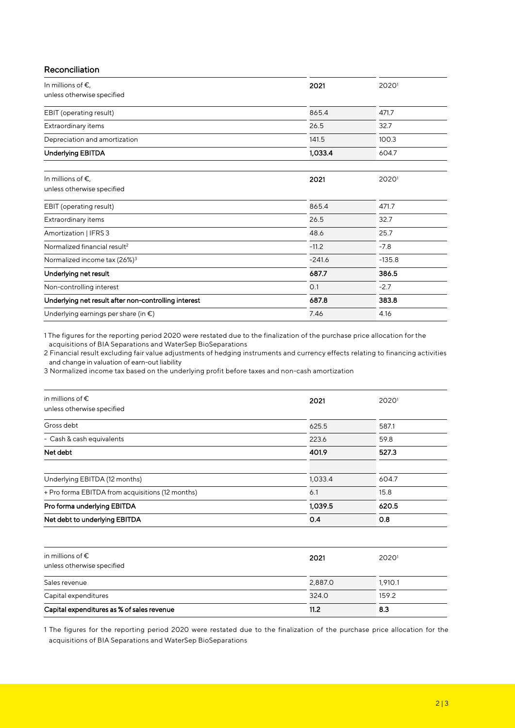| Reconciliation |  |
|----------------|--|
|                |  |

| In millions of $\epsilon$ ,                               | 2021     | 20201    |
|-----------------------------------------------------------|----------|----------|
| unless otherwise specified                                |          |          |
| EBIT (operating result)                                   | 865.4    | 471.7    |
| Extraordinary items                                       | 26.5     | 32.7     |
| Depreciation and amortization                             | 141.5    | 100.3    |
| <b>Underlying EBITDA</b>                                  | 1,033.4  | 604.7    |
| In millions of $\epsilon$ ,<br>unless otherwise specified | 2021     | 20201    |
| EBIT (operating result)                                   | 865.4    | 471.7    |
| Extraordinary items                                       | 26.5     | 32.7     |
| Amortization   IFRS 3                                     | 48.6     | 25.7     |
| Normalized financial result <sup>2</sup>                  | $-11.2$  | $-7.8$   |
| Normalized income tax (26%) <sup>3</sup>                  | $-241.6$ | $-135.8$ |
| Underlying net result                                     | 687.7    | 386.5    |
| Non-controlling interest                                  | O.1      | $-2.7$   |
| Underlying net result after non-controlling interest      | 687.8    | 383.8    |
| Underlying earnings per share (in $\epsilon$ )            | 7.46     | 4.16     |

1 The figures for the reporting period 2020 were restated due to the finalization of the purchase price allocation for the acquisitions of BIA Separations and WaterSep BioSeparations

2 Financial result excluding fair value adjustments of hedging instruments and currency effects relating to financing activities and change in valuation of earn-out liability

3 Normalized income tax based on the underlying profit before taxes and non-cash amortization

| in millions of $\epsilon$<br>unless otherwise specified | 2021    | 20201 |  |
|---------------------------------------------------------|---------|-------|--|
| Gross debt                                              | 625.5   | 587.1 |  |
| - Cash & cash equivalents                               | 223.6   | 59.8  |  |
| Net debt                                                | 401.9   | 527.3 |  |
| Underlying EBITDA (12 months)                           | 1,033.4 | 604.7 |  |
| + Pro forma EBITDA from acquisitions (12 months)        | 6.1     | 15.8  |  |
| Pro forma underlying EBITDA                             | 1,039.5 | 620.5 |  |
| Net debt to underlying EBITDA                           | 0.4     | 0.8   |  |

| in millions of $\epsilon$<br>unless otherwise specified | 2021    | 20201   |
|---------------------------------------------------------|---------|---------|
| Sales revenue                                           | 2,887.0 | 1.910.1 |
| Capital expenditures                                    | 324.0   | 159.2   |
| Capital expenditures as % of sales revenue              | 11.2    | 8.3     |

1 The figures for the reporting period 2020 were restated due to the finalization of the purchase price allocation for the acquisitions of BIA Separations and WaterSep BioSeparations